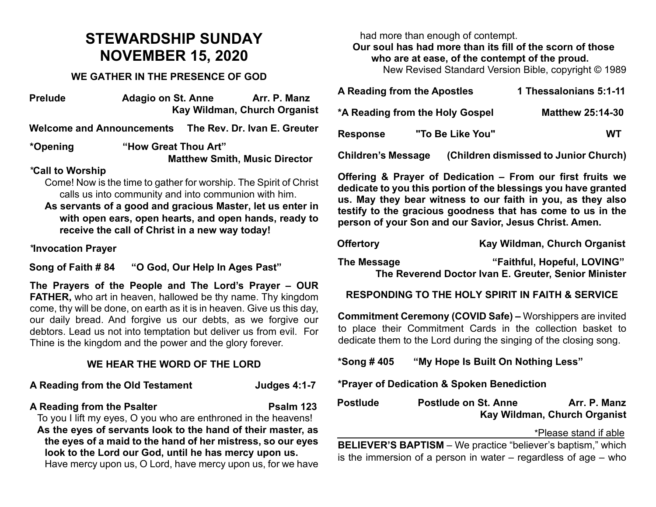# **STEWARDSHIP SUNDAY NOVEMBER 15, 2020**

## **WE GATHER IN THE PRESENCE OF GOD**

| <b>Prelude</b>                   | Adagio on St. Anne                                   |                      | Arr. P. Manz<br>Kay Wildman, Church Organist                      |  |  |
|----------------------------------|------------------------------------------------------|----------------------|-------------------------------------------------------------------|--|--|
| <b>Welcome and Announcements</b> |                                                      |                      | The Rev. Dr. Ivan E. Greuter                                      |  |  |
| *Opening                         |                                                      | "How Great Thou Art" |                                                                   |  |  |
|                                  |                                                      |                      | <b>Matthew Smith, Music Director</b>                              |  |  |
| *Call to Worship                 |                                                      |                      |                                                                   |  |  |
|                                  |                                                      |                      | Come! Now is the time to gather for worship. The Spirit of Christ |  |  |
|                                  | calls us into community and into communion with him. |                      |                                                                   |  |  |

**As servants of a good and gracious Master, let us enter in with open ears, open hearts, and open hands, ready to receive the call of Christ in a new way today!**

*\****Invocation Prayer** 

**Song of Faith # 84 "O God, Our Help In Ages Past"**

**The Prayers of the People and The Lord's Prayer – OUR FATHER,** who art in heaven, hallowed be thy name. Thy kingdom come, thy will be done, on earth as it is in heaven. Give us this day, our daily bread. And forgive us our debts, as we forgive our debtors. Lead us not into temptation but deliver us from evil. For Thine is the kingdom and the power and the glory forever.

## **WE HEAR THE WORD OF THE LORD**

#### **A Reading from the Old Testament Judges 4:1-7**

#### **A Reading from the Psalter Psalm 123**

To you I lift my eyes, O you who are enthroned in the heavens! **As the eyes of servants look to the hand of their master, as the eyes of a maid to the hand of her mistress, so our eyes look to the Lord our God, until he has mercy upon us.** Have mercy upon us, O Lord, have mercy upon us, for we have

had more than enough of contempt. **Our soul has had more than its fill of the scorn of those who are at ease, of the contempt of the proud.**

New Revised Standard Version Bible, copyright © 1989

| A Reading from the Apostles     |  |                  | 1 Thessalonians 5:1-11                |  |
|---------------------------------|--|------------------|---------------------------------------|--|
| *A Reading from the Holy Gospel |  |                  | <b>Matthew 25:14-30</b>               |  |
| <b>Response</b>                 |  | "To Be Like You" | WТ                                    |  |
| <b>Children's Message</b>       |  |                  | (Children dismissed to Junior Church) |  |

**Offering & Prayer of Dedication – From our first fruits we dedicate to you this portion of the blessings you have granted us. May they bear witness to our faith in you, as they also testify to the gracious goodness that has come to us in the person of your Son and our Savior, Jesus Christ. Amen.**

**Offertory Kay Wildman, Church Organist** 

**The Message "Faithful, Hopeful, LOVING" The Reverend Doctor Ivan E. Greuter, Senior Minister**

## **RESPONDING TO THE HOLY SPIRIT IN FAITH & SERVICE**

**Commitment Ceremony (COVID Safe) –** Worshippers are invited to place their Commitment Cards in the collection basket to dedicate them to the Lord during the singing of the closing song.

**\*Song # 405 "My Hope Is Built On Nothing Less"**

**\*Prayer of Dedication & Spoken Benediction** 

| <b>Postlude</b> | <b>Postlude on St. Anne</b> | Arr. P. Manz                 |
|-----------------|-----------------------------|------------------------------|
|                 |                             | Kay Wildman, Church Organist |

\*Please stand if able

**BELIEVER'S BAPTISM** – We practice "believer's baptism," which is the immersion of a person in water – regardless of age – who